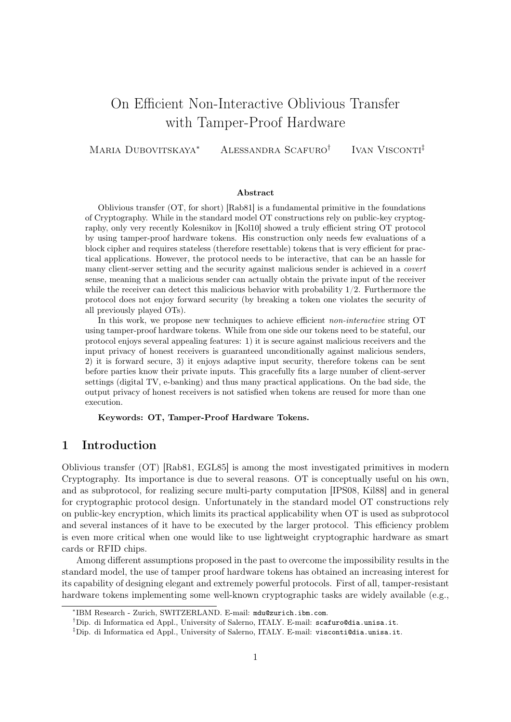# On Efficient Non-Interactive Oblivious Transfer with Tamper-Proof Hardware

Maria Dubovitskaya<sup>∗</sup> Alessandra Scafuro<sup>†</sup> IVAN VISCONTI<sup>‡</sup>

#### Abstract

Oblivious transfer (OT, for short) [Rab81] is a fundamental primitive in the foundations of Cryptography. While in the standard model OT constructions rely on public-key cryptography, only very recently Kolesnikov in [Kol10] showed a truly efficient string OT protocol by using tamper-proof hardware tokens. His construction only needs few evaluations of a block cipher and requires stateless (therefore resettable) tokens that is very efficient for practical applications. However, the protocol needs to be interactive, that can be an hassle for many client-server setting and the security against malicious sender is achieved in a covert sense, meaning that a malicious sender can actually obtain the private input of the receiver while the receiver can detect this malicious behavior with probability  $1/2$ . Furthermore the protocol does not enjoy forward security (by breaking a token one violates the security of all previously played OTs).

In this work, we propose new techniques to achieve efficient non-interactive string OT using tamper-proof hardware tokens. While from one side our tokens need to be stateful, our protocol enjoys several appealing features: 1) it is secure against malicious receivers and the input privacy of honest receivers is guaranteed unconditionally against malicious senders, 2) it is forward secure, 3) it enjoys adaptive input security, therefore tokens can be sent before parties know their private inputs. This gracefully fits a large number of client-server settings (digital TV, e-banking) and thus many practical applications. On the bad side, the output privacy of honest receivers is not satisfied when tokens are reused for more than one execution.

Keywords: OT, Tamper-Proof Hardware Tokens.

# 1 Introduction

Oblivious transfer (OT) [Rab81, EGL85] is among the most investigated primitives in modern Cryptography. Its importance is due to several reasons. OT is conceptually useful on his own, and as subprotocol, for realizing secure multi-party computation [IPS08, Kil88] and in general for cryptographic protocol design. Unfortunately in the standard model OT constructions rely on public-key encryption, which limits its practical applicability when OT is used as subprotocol and several instances of it have to be executed by the larger protocol. This efficiency problem is even more critical when one would like to use lightweight cryptographic hardware as smart cards or RFID chips.

Among different assumptions proposed in the past to overcome the impossibility results in the standard model, the use of tamper proof hardware tokens has obtained an increasing interest for its capability of designing elegant and extremely powerful protocols. First of all, tamper-resistant hardware tokens implementing some well-known cryptographic tasks are widely available (e.g.,

<sup>∗</sup> IBM Research - Zurich, SWITZERLAND. E-mail: mdu@zurich.ibm.com.

<sup>&</sup>lt;sup>†</sup>Dip. di Informatica ed Appl., University of Salerno, ITALY. E-mail: scafuro@dia.unisa.it.

 $\text{Lip. di Informatica ed Appl., University of Salerno, ITALY. E-mail: **visconti@dia.unisa.it**.$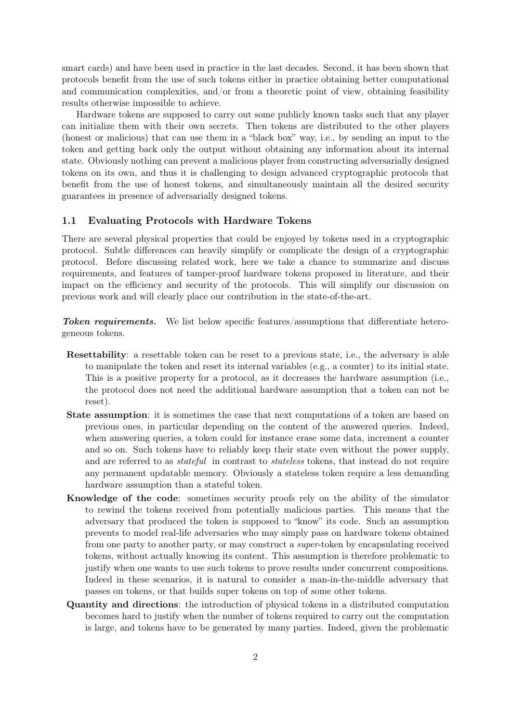smart cards) and have been used in practice in the last decades. Second, it has been shown that protocols benefit from the use of such tokens either in practice obtaining better computational and communication complexities, and/or from a theoretic point of view, obtaining feasibility results otherwise impossible to achieve.

Hardware tokens are supposed to carry out some publicly known tasks such that any player can initialize them with their own secrets. Then tokens are distributed to the other players (honest or malicious) that can use them in a "black box" way, i.e., by sending an input to the token and getting back only the output without obtaining any information about its internal state. Obviously nothing can prevent a malicious player from constructing adversarially designed tokens on its own, and thus it is challenging to design advanced cryptographic protocols that benefit from the use of honest tokens, and simultaneously maintain all the desired security guarantees in presence of adversarially designed tokens.

#### 1.1 Evaluating Protocols with Hardware Tokens

There are several physical properties that could be enjoyed by tokens used in a cryptographic protocol. Subtle differences can heavily simplify or complicate the design of a cryptographic protocol. Before discussing related work, here we take a chance to summarize and discuss requirements, and features of tamper-proof hardware tokens proposed in literature, and their impact on the efficiency and security of the protocols. This will simplify our discussion on previous work and will clearly place our contribution in the state-of-the-art.

**Token requirements.** We list below specific features/assumptions that differentiate heterogeneous tokens.

- Resettability: a resettable token can be reset to a previous state, i.e., the adversary is able to manipulate the token and reset its internal variables (e.g., a counter) to its initial state. This is a positive property for a protocol, as it decreases the hardware assumption (i.e., the protocol does not need the additional hardware assumption that a token can not be reset).
- State assumption: it is sometimes the case that next computations of a token are based on previous ones, in particular depending on the content of the answered queries. Indeed, when answering queries, a token could for instance erase some data, increment a counter and so on. Such tokens have to reliably keep their state even without the power supply, and are referred to as *stateful* in contrast to *stateless* tokens, that instead do not require any permanent updatable memory. Obviously a stateless token require a less demanding hardware assumption than a stateful token.
- Knowledge of the code: sometimes security proofs rely on the ability of the simulator to rewind the tokens received from potentially malicious parties. This means that the adversary that produced the token is supposed to "know" its code. Such an assumption prevents to model real-life adversaries who may simply pass on hardware tokens obtained from one party to another party, or may construct a super-token by encapsulating received tokens, without actually knowing its content. This assumption is therefore problematic to justify when one wants to use such tokens to prove results under concurrent compositions. Indeed in these scenarios, it is natural to consider a man-in-the-middle adversary that passes on tokens, or that builds super tokens on top of some other tokens.
- Quantity and directions: the introduction of physical tokens in a distributed computation becomes hard to justify when the number of tokens required to carry out the computation is large, and tokens have to be generated by many parties. Indeed, given the problematic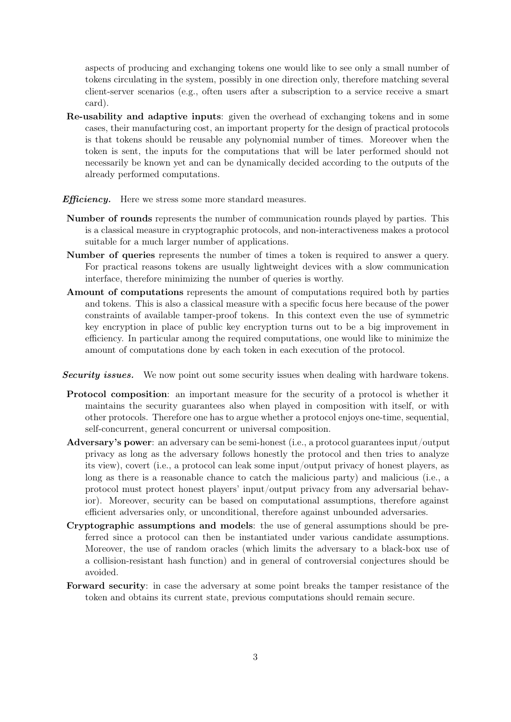aspects of producing and exchanging tokens one would like to see only a small number of tokens circulating in the system, possibly in one direction only, therefore matching several client-server scenarios (e.g., often users after a subscription to a service receive a smart card).

- Re-usability and adaptive inputs: given the overhead of exchanging tokens and in some cases, their manufacturing cost, an important property for the design of practical protocols is that tokens should be reusable any polynomial number of times. Moreover when the token is sent, the inputs for the computations that will be later performed should not necessarily be known yet and can be dynamically decided according to the outputs of the already performed computations.
- **Efficiency.** Here we stress some more standard measures.
- Number of rounds represents the number of communication rounds played by parties. This is a classical measure in cryptographic protocols, and non-interactiveness makes a protocol suitable for a much larger number of applications.
- Number of queries represents the number of times a token is required to answer a query. For practical reasons tokens are usually lightweight devices with a slow communication interface, therefore minimizing the number of queries is worthy.
- Amount of computations represents the amount of computations required both by parties and tokens. This is also a classical measure with a specific focus here because of the power constraints of available tamper-proof tokens. In this context even the use of symmetric key encryption in place of public key encryption turns out to be a big improvement in efficiency. In particular among the required computations, one would like to minimize the amount of computations done by each token in each execution of the protocol.
- Security issues. We now point out some security issues when dealing with hardware tokens.
- Protocol composition: an important measure for the security of a protocol is whether it maintains the security guarantees also when played in composition with itself, or with other protocols. Therefore one has to argue whether a protocol enjoys one-time, sequential, self-concurrent, general concurrent or universal composition.
- Adversary's power: an adversary can be semi-honest (i.e., a protocol guarantees input/output privacy as long as the adversary follows honestly the protocol and then tries to analyze its view), covert (i.e., a protocol can leak some input/output privacy of honest players, as long as there is a reasonable chance to catch the malicious party) and malicious (i.e., a protocol must protect honest players' input/output privacy from any adversarial behavior). Moreover, security can be based on computational assumptions, therefore against efficient adversaries only, or unconditional, therefore against unbounded adversaries.
- Cryptographic assumptions and models: the use of general assumptions should be preferred since a protocol can then be instantiated under various candidate assumptions. Moreover, the use of random oracles (which limits the adversary to a black-box use of a collision-resistant hash function) and in general of controversial conjectures should be avoided.
- Forward security: in case the adversary at some point breaks the tamper resistance of the token and obtains its current state, previous computations should remain secure.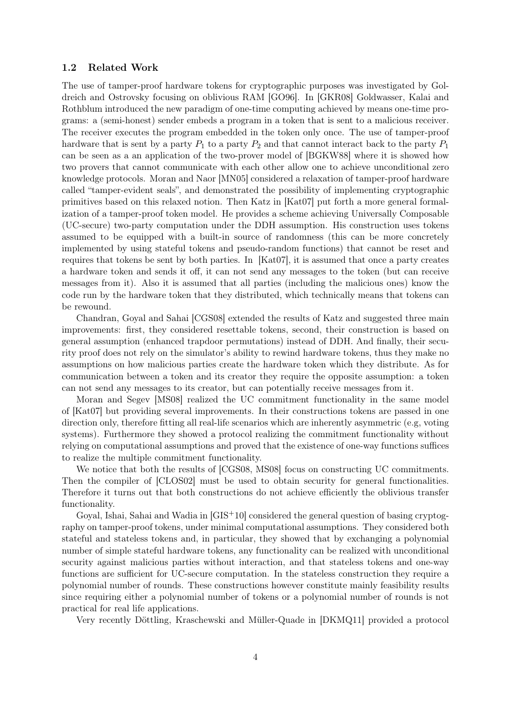#### 1.2 Related Work

The use of tamper-proof hardware tokens for cryptographic purposes was investigated by Goldreich and Ostrovsky focusing on oblivious RAM [GO96]. In [GKR08] Goldwasser, Kalai and Rothblum introduced the new paradigm of one-time computing achieved by means one-time programs: a (semi-honest) sender embeds a program in a token that is sent to a malicious receiver. The receiver executes the program embedded in the token only once. The use of tamper-proof hardware that is sent by a party  $P_1$  to a party  $P_2$  and that cannot interact back to the party  $P_1$ can be seen as a an application of the two-prover model of [BGKW88] where it is showed how two provers that cannot communicate with each other allow one to achieve unconditional zero knowledge protocols. Moran and Naor [MN05] considered a relaxation of tamper-proof hardware called "tamper-evident seals", and demonstrated the possibility of implementing cryptographic primitives based on this relaxed notion. Then Katz in [Kat07] put forth a more general formalization of a tamper-proof token model. He provides a scheme achieving Universally Composable (UC-secure) two-party computation under the DDH assumption. His construction uses tokens assumed to be equipped with a built-in source of randomness (this can be more concretely implemented by using stateful tokens and pseudo-random functions) that cannot be reset and requires that tokens be sent by both parties. In [Kat07], it is assumed that once a party creates a hardware token and sends it off, it can not send any messages to the token (but can receive messages from it). Also it is assumed that all parties (including the malicious ones) know the code run by the hardware token that they distributed, which technically means that tokens can be rewound.

Chandran, Goyal and Sahai [CGS08] extended the results of Katz and suggested three main improvements: first, they considered resettable tokens, second, their construction is based on general assumption (enhanced trapdoor permutations) instead of DDH. And finally, their security proof does not rely on the simulator's ability to rewind hardware tokens, thus they make no assumptions on how malicious parties create the hardware token which they distribute. As for communication between a token and its creator they require the opposite assumption: a token can not send any messages to its creator, but can potentially receive messages from it.

Moran and Segev [MS08] realized the UC commitment functionality in the same model of [Kat07] but providing several improvements. In their constructions tokens are passed in one direction only, therefore fitting all real-life scenarios which are inherently asymmetric (e.g, voting systems). Furthermore they showed a protocol realizing the commitment functionality without relying on computational assumptions and proved that the existence of one-way functions suffices to realize the multiple commitment functionality.

We notice that both the results of [CGS08, MS08] focus on constructing UC commitments. Then the compiler of [CLOS02] must be used to obtain security for general functionalities. Therefore it turns out that both constructions do not achieve efficiently the oblivious transfer functionality.

Goyal, Ishai, Sahai and Wadia in [GIS<sup>+</sup>10] considered the general question of basing cryptography on tamper-proof tokens, under minimal computational assumptions. They considered both stateful and stateless tokens and, in particular, they showed that by exchanging a polynomial number of simple stateful hardware tokens, any functionality can be realized with unconditional security against malicious parties without interaction, and that stateless tokens and one-way functions are sufficient for UC-secure computation. In the stateless construction they require a polynomial number of rounds. These constructions however constitute mainly feasibility results since requiring either a polynomial number of tokens or a polynomial number of rounds is not practical for real life applications.

Very recently Döttling, Kraschewski and Müller-Quade in [DKMQ11] provided a protocol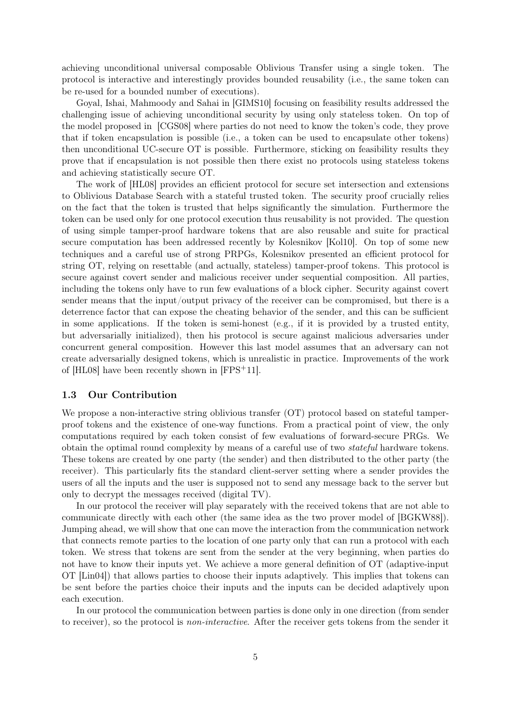achieving unconditional universal composable Oblivious Transfer using a single token. The protocol is interactive and interestingly provides bounded reusability (i.e., the same token can be re-used for a bounded number of executions).

Goyal, Ishai, Mahmoody and Sahai in [GIMS10] focusing on feasibility results addressed the challenging issue of achieving unconditional security by using only stateless token. On top of the model proposed in [CGS08] where parties do not need to know the token's code, they prove that if token encapsulation is possible (i.e., a token can be used to encapsulate other tokens) then unconditional UC-secure OT is possible. Furthermore, sticking on feasibility results they prove that if encapsulation is not possible then there exist no protocols using stateless tokens and achieving statistically secure OT.

The work of [HL08] provides an efficient protocol for secure set intersection and extensions to Oblivious Database Search with a stateful trusted token. The security proof crucially relies on the fact that the token is trusted that helps significantly the simulation. Furthermore the token can be used only for one protocol execution thus reusability is not provided. The question of using simple tamper-proof hardware tokens that are also reusable and suite for practical secure computation has been addressed recently by Kolesnikov [Kol10]. On top of some new techniques and a careful use of strong PRPGs, Kolesnikov presented an efficient protocol for string OT, relying on resettable (and actually, stateless) tamper-proof tokens. This protocol is secure against covert sender and malicious receiver under sequential composition. All parties, including the tokens only have to run few evaluations of a block cipher. Security against covert sender means that the input/output privacy of the receiver can be compromised, but there is a deterrence factor that can expose the cheating behavior of the sender, and this can be sufficient in some applications. If the token is semi-honest (e.g., if it is provided by a trusted entity, but adversarially initialized), then his protocol is secure against malicious adversaries under concurrent general composition. However this last model assumes that an adversary can not create adversarially designed tokens, which is unrealistic in practice. Improvements of the work of [HL08] have been recently shown in [FPS+11].

#### 1.3 Our Contribution

We propose a non-interactive string oblivious transfer (OT) protocol based on stateful tamperproof tokens and the existence of one-way functions. From a practical point of view, the only computations required by each token consist of few evaluations of forward-secure PRGs. We obtain the optimal round complexity by means of a careful use of two stateful hardware tokens. These tokens are created by one party (the sender) and then distributed to the other party (the receiver). This particularly fits the standard client-server setting where a sender provides the users of all the inputs and the user is supposed not to send any message back to the server but only to decrypt the messages received (digital TV).

In our protocol the receiver will play separately with the received tokens that are not able to communicate directly with each other (the same idea as the two prover model of [BGKW88]). Jumping ahead, we will show that one can move the interaction from the communication network that connects remote parties to the location of one party only that can run a protocol with each token. We stress that tokens are sent from the sender at the very beginning, when parties do not have to know their inputs yet. We achieve a more general definition of OT (adaptive-input OT [Lin04]) that allows parties to choose their inputs adaptively. This implies that tokens can be sent before the parties choice their inputs and the inputs can be decided adaptively upon each execution.

In our protocol the communication between parties is done only in one direction (from sender to receiver), so the protocol is non-interactive. After the receiver gets tokens from the sender it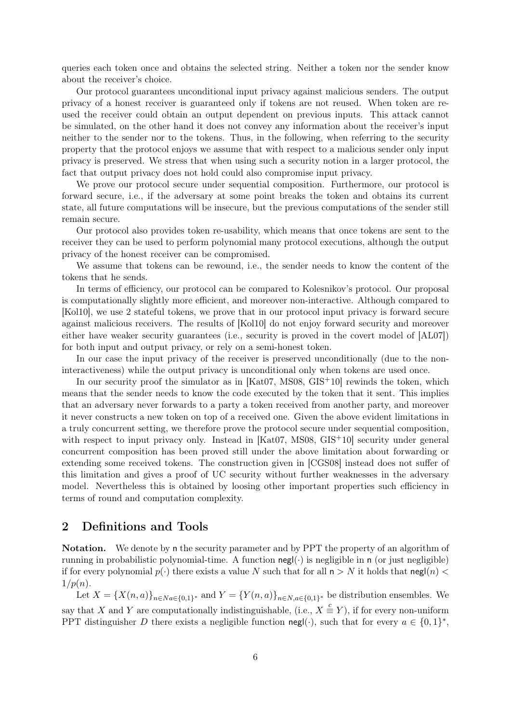queries each token once and obtains the selected string. Neither a token nor the sender know about the receiver's choice.

Our protocol guarantees unconditional input privacy against malicious senders. The output privacy of a honest receiver is guaranteed only if tokens are not reused. When token are reused the receiver could obtain an output dependent on previous inputs. This attack cannot be simulated, on the other hand it does not convey any information about the receiver's input neither to the sender nor to the tokens. Thus, in the following, when referring to the security property that the protocol enjoys we assume that with respect to a malicious sender only input privacy is preserved. We stress that when using such a security notion in a larger protocol, the fact that output privacy does not hold could also compromise input privacy.

We prove our protocol secure under sequential composition. Furthermore, our protocol is forward secure, i.e., if the adversary at some point breaks the token and obtains its current state, all future computations will be insecure, but the previous computations of the sender still remain secure.

Our protocol also provides token re-usability, which means that once tokens are sent to the receiver they can be used to perform polynomial many protocol executions, although the output privacy of the honest receiver can be compromised.

We assume that tokens can be rewound, i.e., the sender needs to know the content of the tokens that he sends.

In terms of efficiency, our protocol can be compared to Kolesnikov's protocol. Our proposal is computationally slightly more efficient, and moreover non-interactive. Although compared to [Kol10], we use 2 stateful tokens, we prove that in our protocol input privacy is forward secure against malicious receivers. The results of [Kol10] do not enjoy forward security and moreover either have weaker security guarantees (i.e., security is proved in the covert model of [AL07]) for both input and output privacy, or rely on a semi-honest token.

In our case the input privacy of the receiver is preserved unconditionally (due to the noninteractiveness) while the output privacy is unconditional only when tokens are used once.

In our security proof the simulator as in  $[Kat07, MS08, GIS<sup>+</sup>10]$  rewinds the token, which means that the sender needs to know the code executed by the token that it sent. This implies that an adversary never forwards to a party a token received from another party, and moreover it never constructs a new token on top of a received one. Given the above evident limitations in a truly concurrent setting, we therefore prove the protocol secure under sequential composition, with respect to input privacy only. Instead in [Kat07, MS08, GIS<sup>+</sup>10] security under general concurrent composition has been proved still under the above limitation about forwarding or extending some received tokens. The construction given in [CGS08] instead does not suffer of this limitation and gives a proof of UC security without further weaknesses in the adversary model. Nevertheless this is obtained by loosing other important properties such efficiency in terms of round and computation complexity.

# 2 Definitions and Tools

Notation. We denote by n the security parameter and by PPT the property of an algorithm of running in probabilistic polynomial-time. A function  $\text{negl}(\cdot)$  is negligible in n (or just negligible) if for every polynomial  $p(\cdot)$  there exists a value N such that for all  $n > N$  it holds that negl(n) <  $1/p(n)$ .

Let  $X = \{X(n, a)\}_{n \in Na \in \{0,1\}^*}$  and  $Y = \{Y(n, a)\}_{n \in N, a \in \{0,1\}^*}$  be distribution ensembles. We say that X and Y are computationally indistinguishable, (i.e.,  $X \stackrel{c}{\equiv} Y$ ), if for every non-uniform PPT distinguisher D there exists a negligible function negl(.), such that for every  $a \in \{0,1\}^*$ ,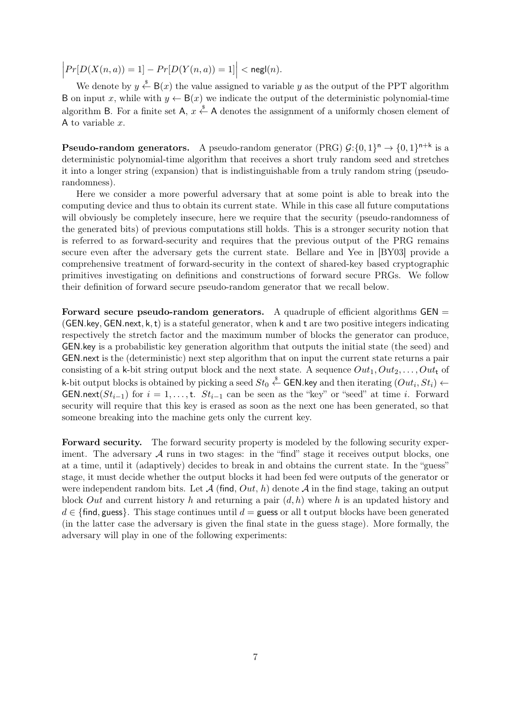$\begin{array}{c} \begin{array}{c} \begin{array}{c} \end{array} \\ \begin{array}{c} \end{array} \end{array} \end{array}$  $Pr[D(X(n, a)) = 1] - Pr[D(Y(n, a)) = 1] | < \mathsf{negl}(n).$ 

We denote by  $y \stackrel{\$}{\leftarrow} B(x)$  the value assigned to variable y as the output of the PPT algorithm B on input x, while with  $y \leftarrow B(x)$  we indicate the output of the deterministic polynomial-time algorithm B. For a finite set  $\mathsf{A}, x \stackrel{\$}{\leftarrow} \mathsf{A}$  denotes the assignment of a uniformly chosen element of A to variable  $x$ .

**Pseudo-random generators.** A pseudo-random generator (PRG)  $\mathcal{G}: \{0,1\}^n \to \{0,1\}^{n+k}$  is a deterministic polynomial-time algorithm that receives a short truly random seed and stretches it into a longer string (expansion) that is indistinguishable from a truly random string (pseudorandomness).

Here we consider a more powerful adversary that at some point is able to break into the computing device and thus to obtain its current state. While in this case all future computations will obviously be completely insecure, here we require that the security (pseudo-randomness of the generated bits) of previous computations still holds. This is a stronger security notion that is referred to as forward-security and requires that the previous output of the PRG remains secure even after the adversary gets the current state. Bellare and Yee in [BY03] provide a comprehensive treatment of forward-security in the context of shared-key based cryptographic primitives investigating on definitions and constructions of forward secure PRGs. We follow their definition of forward secure pseudo-random generator that we recall below.

Forward secure pseudo-random generators. A quadruple of efficient algorithms GEN = (GEN.key, GEN.next,  $k, t$ ) is a stateful generator, when k and t are two positive integers indicating respectively the stretch factor and the maximum number of blocks the generator can produce, GEN.key is a probabilistic key generation algorithm that outputs the initial state (the seed) and GEN.next is the (deterministic) next step algorithm that on input the current state returns a pair consisting of a k-bit string output block and the next state. A sequence  $Out_1, Out_2, \ldots, Out_t$  of k-bit output blocks is obtained by picking a seed  $St_0 \overset{\hspace{0.1em}\mathsf{\scriptscriptstyle\$}}{\leftarrow} \mathsf{GEN}$ .key and then iterating  $(Out_i, St_i) \leftarrow$ GEN.next( $St_{i-1}$ ) for  $i = 1, ..., t$ .  $St_{i-1}$  can be seen as the "key" or "seed" at time i. Forward security will require that this key is erased as soon as the next one has been generated, so that someone breaking into the machine gets only the current key.

Forward security. The forward security property is modeled by the following security experiment. The adversary  $A$  runs in two stages: in the "find" stage it receives output blocks, one at a time, until it (adaptively) decides to break in and obtains the current state. In the "guess" stage, it must decide whether the output blocks it had been fed were outputs of the generator or were independent random bits. Let  $\mathcal{A}$  (find,  $Out, h$ ) denote  $\mathcal{A}$  in the find stage, taking an output block Out and current history h and returning a pair  $(d, h)$  where h is an updated history and  $d \in \{\text{find}, \text{guess}\}.$  This stage continues until  $d =$  guess or all t output blocks have been generated (in the latter case the adversary is given the final state in the guess stage). More formally, the adversary will play in one of the following experiments: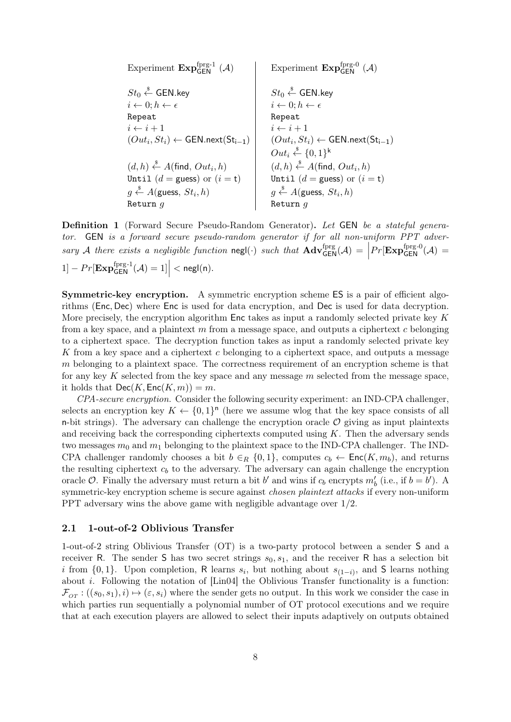| Experiment $\text{Exp}_{GEN}^{fprg-1}(A)$                   | Experiment $\text{Exp}_{GEN}^{fprg-0}(A)$                   |                                                      |                                                      |
|-------------------------------------------------------------|-------------------------------------------------------------|------------------------------------------------------|------------------------------------------------------|
| $St_0 \stackrel{\$}{\leftarrow} \text{GEN-key}$             | $St_0 \stackrel{\$}{\leftarrow} \text{GEN-key}$             |                                                      |                                                      |
| $i \leftarrow 0; h \leftarrow \epsilon$                     | $i \leftarrow 0; h \leftarrow \epsilon$                     |                                                      |                                                      |
| Repeat                                                      | $i \leftarrow i + 1$                                        | $(Out_i, St_i) \leftarrow \text{GEN.next}(St_{i-1})$ | $(Out_i, St_i) \leftarrow \text{GEN.next}(St_{i-1})$ |
| $(d, h) \stackrel{\$}{\leftarrow} A(\text{find}, Out_i, h)$ | $(d, h) \stackrel{\$}{\leftarrow} A(\text{find}, Out_i, h)$ |                                                      |                                                      |
| Until $(d = \text{guess})$ or $(i = t)$                     | $(Out_i \stackrel{\$}{\leftarrow} \{0, 1\}^k$               |                                                      |                                                      |
| $g \stackrel{\$}{\leftarrow} A(\text{guess}, St_i, h)$      | $\text{Intil } (d = \text{guess})$ or $(i = t)$             |                                                      |                                                      |
| $g \stackrel{\$}{\leftarrow} A(\text{guess}, St_i, h)$      | $\text{Return } g$                                          |                                                      |                                                      |

Definition 1 (Forward Secure Pseudo-Random Generator). Let GEN be a stateful generator. GEN is a forward secure pseudo-random generator if for all non-uniform PPT adversary A there exists a negligible function  $\text{negl}(\cdot)$  such that  $\text{Adv}_{\text{GEN}}^{\text{fprg}}(\mathcal{A}) = \Big|$  $Pr[\text{Exp}_{\mathsf{GEN}}^{\text{fprg-0}}(\mathcal{A})] =$ 1]  $- Pr[\mathbf{Exp}_{\mathsf{GEN}}^{\mathsf{fprg-1}}(\mathcal{A}) = 1] \Big| < \mathsf{negl}(\mathsf{n}).$ 

Symmetric-key encryption. A symmetric encryption scheme ES is a pair of efficient algorithms (Enc, Dec) where Enc is used for data encryption, and Dec is used for data decryption. More precisely, the encryption algorithm Enc takes as input a randomly selected private key K from a key space, and a plaintext  $m$  from a message space, and outputs a ciphertext  $c$  belonging to a ciphertext space. The decryption function takes as input a randomly selected private key K from a key space and a ciphertext c belonging to a ciphertext space, and outputs a message m belonging to a plaintext space. The correctness requirement of an encryption scheme is that for any key K selected from the key space and any message  $m$  selected from the message space, it holds that  $\mathsf{Dec}(K,\mathsf{Enc}(K,m)) = m$ .

CPA-secure encryption. Consider the following security experiment: an IND-CPA challenger, selects an encryption key  $K \leftarrow \{0,1\}^n$  (here we assume wlog that the key space consists of all n-bit strings). The adversary can challenge the encryption oracle  $\mathcal O$  giving as input plaintexts and receiving back the corresponding ciphertexts computed using  $K$ . Then the adversary sends two messages  $m_0$  and  $m_1$  belonging to the plaintext space to the IND-CPA challenger. The IND-CPA challenger randomly chooses a bit  $b \in_R \{0,1\}$ , computes  $c_b \leftarrow \text{Enc}(K, m_b)$ , and returns the resulting ciphertext  $c<sub>b</sub>$  to the adversary. The adversary can again challenge the encryption oracle O. Finally the adversary must return a bit b' and wins if  $c_b$  encrypts  $m'_b$  (i.e., if  $b = b'$ ). A symmetric-key encryption scheme is secure against *chosen plaintext attacks* if every non-uniform PPT adversary wins the above game with negligible advantage over 1/2.

#### 2.1 1-out-of-2 Oblivious Transfer

1-out-of-2 string Oblivious Transfer (OT) is a two-party protocol between a sender S and a receiver R. The sender S has two secret strings  $s_0, s_1$ , and the receiver R has a selection bit i from  $\{0,1\}$ . Upon completion, R learns  $s_i$ , but nothing about  $s_{(1-i)}$ , and S learns nothing about *i*. Following the notation of [Lin04] the Oblivious Transfer functionality is a function:  $\mathcal{F}_{OT}$ :  $((s_0, s_1), i) \mapsto (\varepsilon, s_i)$  where the sender gets no output. In this work we consider the case in which parties run sequentially a polynomial number of OT protocol executions and we require that at each execution players are allowed to select their inputs adaptively on outputs obtained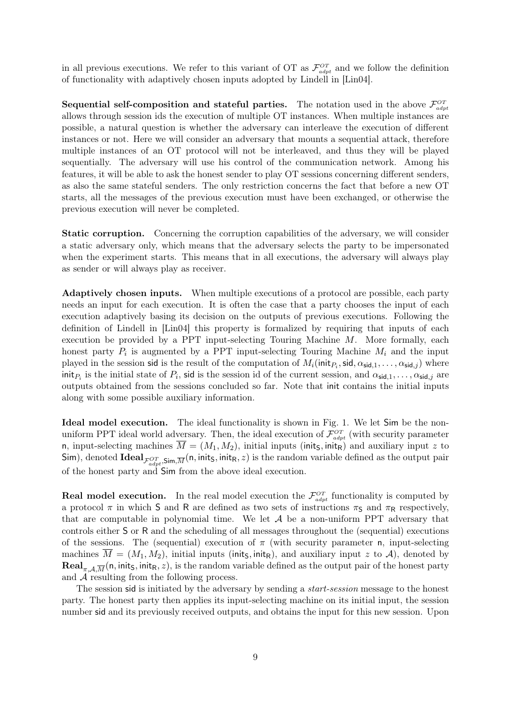in all previous executions. We refer to this variant of OT as  $\mathcal{F}_{adpt}^{OT}$  and we follow the definition of functionality with adaptively chosen inputs adopted by Lindell in [Lin04].

**Sequential self-composition and stateful parties.** The notation used in the above  $\mathcal{F}_{\text{adapt}}^{OT}$ allows through session ids the execution of multiple OT instances. When multiple instances are possible, a natural question is whether the adversary can interleave the execution of different instances or not. Here we will consider an adversary that mounts a sequential attack, therefore multiple instances of an OT protocol will not be interleaved, and thus they will be played sequentially. The adversary will use his control of the communication network. Among his features, it will be able to ask the honest sender to play OT sessions concerning different senders, as also the same stateful senders. The only restriction concerns the fact that before a new OT starts, all the messages of the previous execution must have been exchanged, or otherwise the previous execution will never be completed.

Static corruption. Concerning the corruption capabilities of the adversary, we will consider a static adversary only, which means that the adversary selects the party to be impersonated when the experiment starts. This means that in all executions, the adversary will always play as sender or will always play as receiver.

Adaptively chosen inputs. When multiple executions of a protocol are possible, each party needs an input for each execution. It is often the case that a party chooses the input of each execution adaptively basing its decision on the outputs of previous executions. Following the definition of Lindell in [Lin04] this property is formalized by requiring that inputs of each execution be provided by a PPT input-selecting Touring Machine M. More formally, each honest party  $P_i$  is augmented by a PPT input-selecting Touring Machine  $M_i$  and the input played in the session sid is the result of the computation of  $M_i(\text{init}_{P_i}, \text{sid}, \alpha_{\text{sid},1}, \dots, \alpha_{\text{sid},j})$  where init<sub> $P_i$ </sub> is the initial state of  $P_i$ , sid is the session id of the current session, and  $\alpha_{\text{sid},1}, \ldots, \alpha_{\text{sid},j}$  are outputs obtained from the sessions concluded so far. Note that init contains the initial inputs along with some possible auxiliary information.

Ideal model execution. The ideal functionality is shown in Fig. 1. We let Sim be the nonuniform PPT ideal world adversary. Then, the ideal execution of  $\mathcal{F}_{adv}^{OT}$  (with security parameter n, input-selecting machines  $\overline{M} = (M_1, M_2)$ , initial inputs (init<sub>s</sub>, init<sub>R</sub>) and auxiliary input z to Sim), denoted  $\text{Ideal}_{\mathcal{F}_{adapt}^{OT},\text{Sim},\overline{M}}(\textsf{n},\textsf{init}_\textsf{S},\textsf{init}_\textsf{R},z)$  is the random variable defined as the output pair of the honest party and Sim from the above ideal execution.

**Real model execution.** In the real model execution the  $\mathcal{F}_{\text{adapt}}^{OT}$  functionality is computed by a protocol  $\pi$  in which S and R are defined as two sets of instructions  $\pi_S$  and  $\pi_R$  respectively, that are computable in polynomial time. We let  $A$  be a non-uniform PPT adversary that controls either S or R and the scheduling of all messages throughout the (sequential) executions of the sessions. The (sequential) execution of  $\pi$  (with security parameter n, input-selecting machines  $M = (M_1, M_2)$ , initial inputs (init<sub>S</sub>, init<sub>R</sub>), and auxiliary input z to A), denoted by **Real**<sub>π,A, $\overline{M}$ (n, init<sub>S</sub>, init<sub>R</sub>, *z*), is the random variable defined as the output pair of the honest party</sub> and  $A$  resulting from the following process.

The session sid is initiated by the adversary by sending a *start-session* message to the honest party. The honest party then applies its input-selecting machine on its initial input, the session number sid and its previously received outputs, and obtains the input for this new session. Upon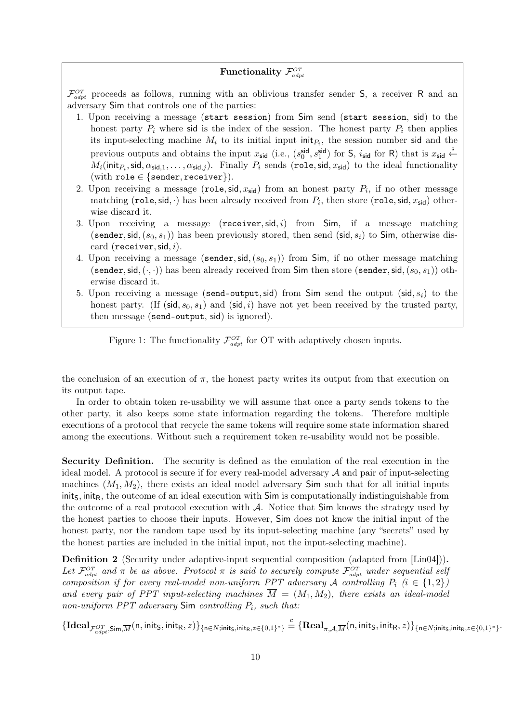### Functionality  $\mathcal{F}^{OT}_{adpt}$

 $\mathcal{F}_{adpt}^{\mathcal{O}T}$  proceeds as follows, running with an oblivious transfer sender S, a receiver R and an adversary Sim that controls one of the parties:

- 1. Upon receiving a message (start session) from Sim send (start session, sid) to the honest party  $P_i$  where sid is the index of the session. The honest party  $P_i$  then applies its input-selecting machine  $M_i$  to its initial input init<sub> $P_i$ </sub>, the session number sid and the previous outputs and obtains the input  $x_{\text{sid}}$  (i.e.,  $(s_0^{\text{sid}}, s_1^{\text{sid}})$  for  $\mathsf{S}$ ,  $i_{\text{sid}}$  for  $\mathsf{R})$  that is  $x_{\text{sid}} \overset{\$}{\leftarrow}$  $M_i(\mathsf{init}_{P_i},\mathsf{sid},\alpha_{\mathsf{sid},1},\dots,\alpha_{\mathsf{sid},j})$ . Finally  $P_i$  sends  $(\mathsf{role},\mathsf{sid},x_{\mathsf{sid}})$  to the ideal functionality (with role  $\in$  {sender, receiver}).
- 2. Upon receiving a message (role, sid,  $x_{sid}$ ) from an honest party  $P_i$ , if no other message matching (role, sid,  $\cdot$ ) has been already received from  $P_i$ , then store (role, sid,  $x_{\text{sid}}$ ) otherwise discard it.
- 3. Upon receiving a message ( $\mathsf{receiver}, \mathsf{sid}, i$ ) from  $\mathsf{Sim},$  if a message matching (sender, sid,  $(s_0, s_1)$ ) has been previously stored, then send (sid,  $s_i$ ) to Sim, otherwise discard (receiver, sid,  $i$ ).
- 4. Upon receiving a message (sender, sid,  $(s_0, s_1)$ ) from Sim, if no other message matching (sender, sid,  $(\cdot, \cdot)$ ) has been already received from Sim then store (sender, sid,  $(s_0, s_1)$ ) otherwise discard it.
- 5. Upon receiving a message (send-output, sid) from Sim send the output (sid,  $s_i$ ) to the honest party. (If (sid,  $s_0, s_1$ ) and (sid, i) have not yet been received by the trusted party, then message (send-output, sid) is ignored).

Figure 1: The functionality  $\mathcal{F}_{\text{adapt}}^{OT}$  for OT with adaptively chosen inputs.

the conclusion of an execution of  $\pi$ , the honest party writes its output from that execution on its output tape.

In order to obtain token re-usability we will assume that once a party sends tokens to the other party, it also keeps some state information regarding the tokens. Therefore multiple executions of a protocol that recycle the same tokens will require some state information shared among the executions. Without such a requirement token re-usability would not be possible.

Security Definition. The security is defined as the emulation of the real execution in the ideal model. A protocol is secure if for every real-model adversary  $A$  and pair of input-selecting machines  $(M_1, M_2)$ , there exists an ideal model adversary Sim such that for all initial inputs  $\text{init}_\text{S}$ , init<sub>R</sub>, the outcome of an ideal execution with  $\text{Sim}$  is computationally indistinguishable from the outcome of a real protocol execution with A. Notice that Sim knows the strategy used by the honest parties to choose their inputs. However, Sim does not know the initial input of the honest party, nor the random tape used by its input-selecting machine (any "secrets" used by the honest parties are included in the initial input, not the input-selecting machine).

Definition 2 (Security under adaptive-input sequential composition (adapted from [Lin04])). Let  $\mathcal{F}_{adpt}^{\mathcal{O}T}$  and  $\pi$  be as above. Protocol  $\pi$  is said to securely compute  $\mathcal{F}_{adpt}^{\mathcal{O}T}$  under sequential selj composition if for every real-model non-uniform PPT adversary A controlling  $P_i$  (i  $\in \{1,2\}$ ) and every pair of PPT input-selecting machines  $\overline{M} = (M_1, M_2)$ , there exists an ideal-model non-uniform  $PPT$  adversary  $Sim$  controlling  $P_i$ , such that:

 $\{\textbf{Ideal}_{\mathcal{F}_{adpt}^{OT}, \textbf{Sim}, \overline{M}}(\textsf{n}, \textsf{init}_\mathsf{S}, \textsf{init}_\mathsf{R}, z)\}_{\{\textsf{n} \in N; \textsf{init}_\mathsf{S}, \textsf{init}_\mathsf{R}, z \in \{0,1\}^*\}}$  $\stackrel{c}{\equiv} \{\mathbf{Real}_{\pi,\mathcal{A},\overline{M}}(\mathsf{n},\mathsf{init}_\mathsf{S},\mathsf{init}_\mathsf{R},z)\}_{\{\mathsf{n}\in N;\mathsf{init}_\mathsf{S},\mathsf{init}_\mathsf{R},z\in\{0,1\}^*\}}.$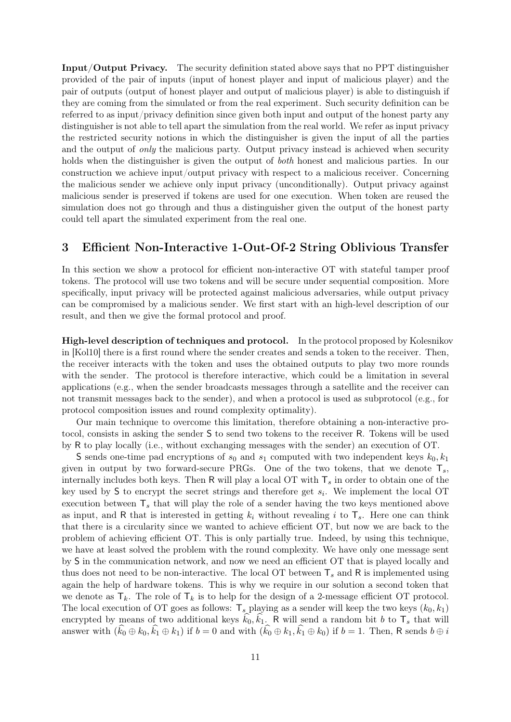Input/Output Privacy. The security definition stated above says that no PPT distinguisher provided of the pair of inputs (input of honest player and input of malicious player) and the pair of outputs (output of honest player and output of malicious player) is able to distinguish if they are coming from the simulated or from the real experiment. Such security definition can be referred to as input/privacy definition since given both input and output of the honest party any distinguisher is not able to tell apart the simulation from the real world. We refer as input privacy the restricted security notions in which the distinguisher is given the input of all the parties and the output of *only* the malicious party. Output privacy instead is achieved when security holds when the distinguisher is given the output of *both* honest and malicious parties. In our construction we achieve input/output privacy with respect to a malicious receiver. Concerning the malicious sender we achieve only input privacy (unconditionally). Output privacy against malicious sender is preserved if tokens are used for one execution. When token are reused the simulation does not go through and thus a distinguisher given the output of the honest party could tell apart the simulated experiment from the real one.

### 3 Efficient Non-Interactive 1-Out-Of-2 String Oblivious Transfer

In this section we show a protocol for efficient non-interactive OT with stateful tamper proof tokens. The protocol will use two tokens and will be secure under sequential composition. More specifically, input privacy will be protected against malicious adversaries, while output privacy can be compromised by a malicious sender. We first start with an high-level description of our result, and then we give the formal protocol and proof.

High-level description of techniques and protocol. In the protocol proposed by Kolesnikov in [Kol10] there is a first round where the sender creates and sends a token to the receiver. Then, the receiver interacts with the token and uses the obtained outputs to play two more rounds with the sender. The protocol is therefore interactive, which could be a limitation in several applications (e.g., when the sender broadcasts messages through a satellite and the receiver can not transmit messages back to the sender), and when a protocol is used as subprotocol (e.g., for protocol composition issues and round complexity optimality).

Our main technique to overcome this limitation, therefore obtaining a non-interactive protocol, consists in asking the sender S to send two tokens to the receiver R. Tokens will be used by R to play locally (i.e., without exchanging messages with the sender) an execution of OT.

S sends one-time pad encryptions of  $s_0$  and  $s_1$  computed with two independent keys  $k_0, k_1$ given in output by two forward-secure PRGs. One of the two tokens, that we denote  $\mathsf{T}_s$ , internally includes both keys. Then R will play a local OT with  $T_s$  in order to obtain one of the key used by  $S$  to encrypt the secret strings and therefore get  $s_i$ . We implement the local OT execution between  $T_s$  that will play the role of a sender having the two keys mentioned above as input, and R that is interested in getting  $k_i$  without revealing i to  $\mathsf{T}_s$ . Here one can think that there is a circularity since we wanted to achieve efficient OT, but now we are back to the problem of achieving efficient OT. This is only partially true. Indeed, by using this technique, we have at least solved the problem with the round complexity. We have only one message sent by S in the communication network, and now we need an efficient OT that is played locally and thus does not need to be non-interactive. The local OT between  $T_s$  and R is implemented using again the help of hardware tokens. This is why we require in our solution a second token that we denote as  $T_k$ . The role of  $T_k$  is to help for the design of a 2-message efficient OT protocol. The local execution of OT goes as follows:  $\mathsf{T}_s$  playing as a sender will keep the two keys  $(k_0, k_1)$ encrypted by means of two additional keys  $k_0, k_1$ . R will send a random bit b to  $\mathsf{T}_s$  that will answer with  $(k_0 \oplus k_0, k_1 \oplus k_1)$  if  $b = 0$  and with  $(k_0 \oplus k_1, k_1 \oplus k_0)$  if  $b = 1$ . Then, R sends  $b \oplus i$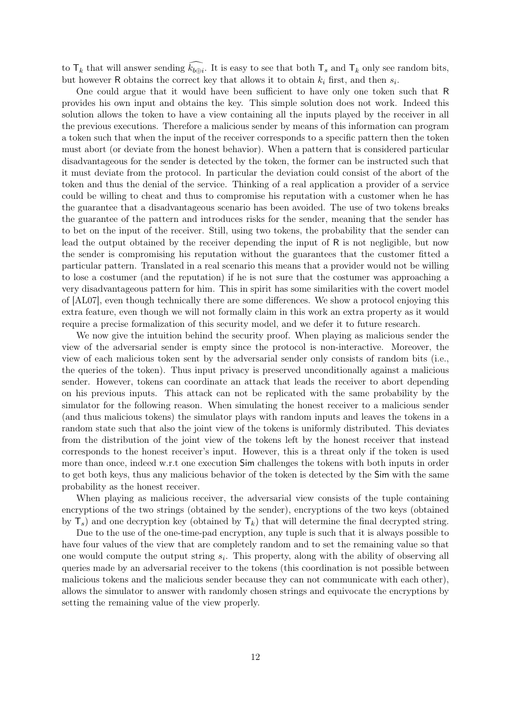to  $\mathsf{T}_k$  that will answer sending  $k_{b \oplus i}$ . It is easy to see that both  $\mathsf{T}_s$  and  $\mathsf{T}_k$  only see random bits, but however R obtains the correct key that allows it to obtain  $k_i$  first, and then  $s_i$ .

One could argue that it would have been sufficient to have only one token such that R provides his own input and obtains the key. This simple solution does not work. Indeed this solution allows the token to have a view containing all the inputs played by the receiver in all the previous executions. Therefore a malicious sender by means of this information can program a token such that when the input of the receiver corresponds to a specific pattern then the token must abort (or deviate from the honest behavior). When a pattern that is considered particular disadvantageous for the sender is detected by the token, the former can be instructed such that it must deviate from the protocol. In particular the deviation could consist of the abort of the token and thus the denial of the service. Thinking of a real application a provider of a service could be willing to cheat and thus to compromise his reputation with a customer when he has the guarantee that a disadvantageous scenario has been avoided. The use of two tokens breaks the guarantee of the pattern and introduces risks for the sender, meaning that the sender has to bet on the input of the receiver. Still, using two tokens, the probability that the sender can lead the output obtained by the receiver depending the input of R is not negligible, but now the sender is compromising his reputation without the guarantees that the customer fitted a particular pattern. Translated in a real scenario this means that a provider would not be willing to lose a costumer (and the reputation) if he is not sure that the costumer was approaching a very disadvantageous pattern for him. This in spirit has some similarities with the covert model of [AL07], even though technically there are some differences. We show a protocol enjoying this extra feature, even though we will not formally claim in this work an extra property as it would require a precise formalization of this security model, and we defer it to future research.

We now give the intuition behind the security proof. When playing as malicious sender the view of the adversarial sender is empty since the protocol is non-interactive. Moreover, the view of each malicious token sent by the adversarial sender only consists of random bits (i.e., the queries of the token). Thus input privacy is preserved unconditionally against a malicious sender. However, tokens can coordinate an attack that leads the receiver to abort depending on his previous inputs. This attack can not be replicated with the same probability by the simulator for the following reason. When simulating the honest receiver to a malicious sender (and thus malicious tokens) the simulator plays with random inputs and leaves the tokens in a random state such that also the joint view of the tokens is uniformly distributed. This deviates from the distribution of the joint view of the tokens left by the honest receiver that instead corresponds to the honest receiver's input. However, this is a threat only if the token is used more than once, indeed w.r.t one execution Sim challenges the tokens with both inputs in order to get both keys, thus any malicious behavior of the token is detected by the Sim with the same probability as the honest receiver.

When playing as malicious receiver, the adversarial view consists of the tuple containing encryptions of the two strings (obtained by the sender), encryptions of the two keys (obtained by  $\mathsf{T}_s$ ) and one decryption key (obtained by  $\mathsf{T}_k$ ) that will determine the final decrypted string.

Due to the use of the one-time-pad encryption, any tuple is such that it is always possible to have four values of the view that are completely random and to set the remaining value so that one would compute the output string  $s_i$ . This property, along with the ability of observing all queries made by an adversarial receiver to the tokens (this coordination is not possible between malicious tokens and the malicious sender because they can not communicate with each other), allows the simulator to answer with randomly chosen strings and equivocate the encryptions by setting the remaining value of the view properly.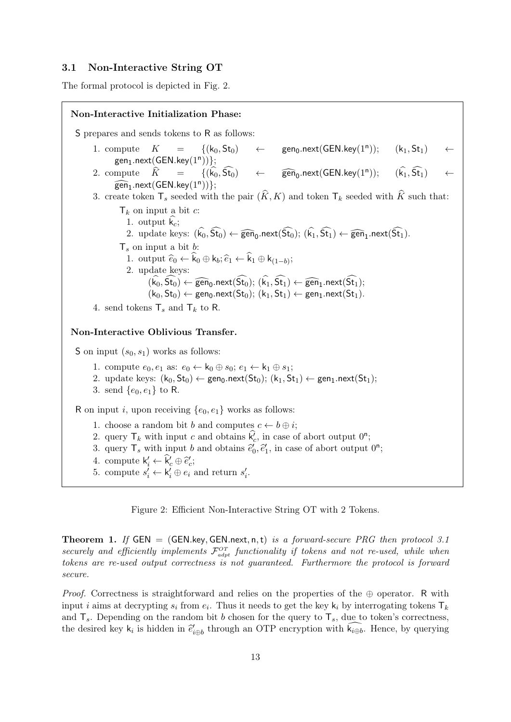### 3.1 Non-Interactive String OT

The formal protocol is depicted in Fig. 2.

Non-Interactive Initialization Phase: S prepares and sends tokens to R as follows: 1. compute  $K = \{(k_0, St_0) \leftarrow$  gen<sub>0</sub>.next(GEN.key(1<sup>n</sup>));  $(k_1, St_1)$  $gen_1.next(GEN.key(1^n))\};$ 2. compute  $\widehat{K} = \{(\widehat{k_0}, \widehat{\mathsf{St}_0}) \leftarrow$  $\widehat{\text{gen}}_0$ .next(GEN.key(1<sup>n</sup>));  $(\widehat{\mathsf{k}_1},\widehat{\mathsf{St}_1})$  $\widehat{\mathsf{gen}}_{1}$ .next $(GEN.key(1<sup>n</sup>))$ ; 3. create token  $\mathsf{T}_s$  seeded with the pair  $(K, K)$  and token  $\mathsf{T}_k$  seeded with K such that:  $\mathsf{T}_k$  on input a bit c: 1. output  $\hat{k}_c$ ; 2. update keys:  $(k_0, St_0) \leftarrow \widehat{\text{gen}}_0.next(St_0); (k_1, St_1) \leftarrow \widehat{\text{gen}}_1.next(St_1).$  $\mathsf{T}_s$  on input a bit b: 1. output  $\hat{e}_0 \leftarrow k_0 \oplus k_b; \hat{e}_1 \leftarrow k_1 \oplus k_{(1-b)};$ <br>2. undate keys: 2. update keys:  $(k_0, St_0) \leftarrow \widehat{\text{gen}}_0$ .next $(St_0); (k_1, St_1) \leftarrow \widehat{\text{gen}}_1$ .next $(St_1);$ <br> $(k_1, St_1) \leftarrow \text{gen}_{1} \text{next}(St_1)$  $(k_0, St_0) \leftarrow \text{gen}_0.next(St_0); (k_1, St_1) \leftarrow \text{gen}_1.next(St_1).$ 4. send tokens  $\mathsf{T}_s$  and  $\mathsf{T}_k$  to R. Non-Interactive Oblivious Transfer. S on input  $(s_0, s_1)$  works as follows: 1. compute  $e_0, e_1$  as:  $e_0 \leftarrow k_0 \oplus s_0$ ;  $e_1 \leftarrow k_1 \oplus s_1$ ; 2. update keys:  $(k_0, St_0) \leftarrow gen_0.next(St_0); (k_1, St_1) \leftarrow gen_1.next(St_1);$ 3. send  $\{e_0, e_1\}$  to R. R on input i, upon receiving  $\{e_0, e_1\}$  works as follows: 1. choose a random bit b and computes  $c \leftarrow b \oplus i$ ; 2. query  $\mathsf{T}_k$  with input c and obtains  $\hat{k}_c$ , in case of abort output  $0^n$ ; 3. query  $\mathsf{T}_s$  with input b and obtains  $\tilde{e}'_0, \tilde{e}'_1$ , in case of abort output  $0^n$ ; 4. compute  $\mathsf{k}'_i \leftarrow \hat{\mathsf{k}}'_c \oplus \hat{\mathsf{e}}'_c;$ 5. compute  $s'_i \leftarrow \mathsf{k}'_i \oplus e_i$  and return  $s'_i$ .

Figure 2: Efficient Non-Interactive String OT with 2 Tokens.

**Theorem 1.** If GEN = (GEN.key, GEN.next, n, t) is a forward-secure PRG then protocol 3.1 securely and efficiently implements  $\mathcal{F}_{adv}^{OT}$  functionality if tokens and not re-used, while when tokens are re-used output correctness is not guaranteed. Furthermore the protocol is forward secure.

*Proof.* Correctness is straightforward and relies on the properties of the  $oplus$  operator. R with input *i* aims at decrypting  $s_i$  from  $e_i$ . Thus it needs to get the key  $\mathsf{k}_i$  by interrogating tokens  $\mathsf{T}_k$ and  $T_s$ . Depending on the random bit b chosen for the query to  $T_s$ , due to token's correctness, the desired key  $k_i$  is hidden in  $\hat{e}'_{i\oplus b}$  through an OTP encryption with  $\widehat{k_{i\oplus b}}$ . Hence, by querying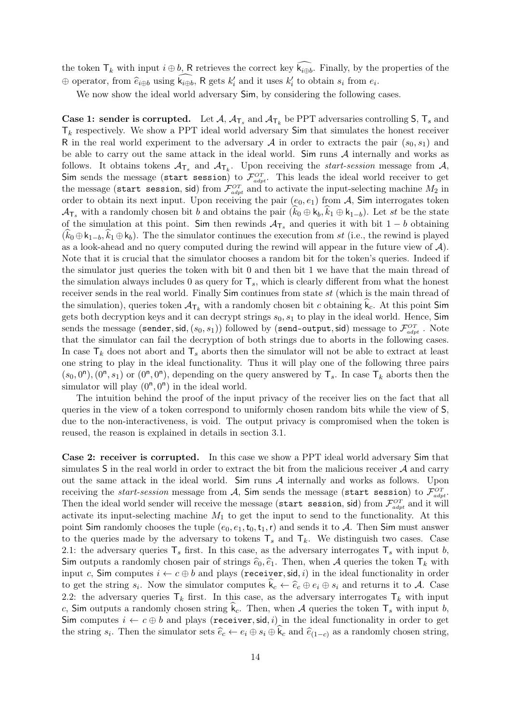the token  $\mathsf{T}_k$  with input  $i \oplus b$ , R retrieves the correct key  $\mathsf{k}_{i \oplus b}$ . Finally, by the properties of the  $\oplus$  operator, from  $\widehat{e}_{i \oplus b}$  using  $\widehat{k_{i \oplus b}}$ , R gets  $k'_{i}$  and it uses  $k'_{i}$  to obtain  $s_{i}$  from  $e_{i}$ .

We now show the ideal world adversary  $Sim$ , by considering the following cases.

**Case 1: sender is corrupted.** Let  $A$ ,  $A_{\mathsf{T}_s}$  and  $A_{\mathsf{T}_k}$  be PPT adversaries controlling  $\mathsf{S}, \mathsf{T}_s$  and  $\mathsf{T}_k$  respectively. We show a PPT ideal world adversary Sim that simulates the honest receiver R in the real world experiment to the adversary A in order to extracts the pair  $(s_0, s_1)$  and be able to carry out the same attack in the ideal world. Sim runs  $A$  internally and works as follows. It obtains tokens  $A_{\mathsf{T}_s}$  and  $A_{\mathsf{T}_k}$ . Upon receiving the *start-session* message from A, Sim sends the message (start session) to  $\mathcal{F}_{advt}^{OT}$ . This leads the ideal world receiver to get the message (start session, sid) from  $\mathcal{F}_{adpt}^{OT}$  and to activate the input-selecting machine  $M_2$  in order to obtain its next input. Upon receiving the pair  $(e_0, e_1)$  from A, Sim interrogates token  $\mathcal{A}_{\mathsf{T}_s}$  with a randomly chosen bit b and obtains the pair  $(k_0 \oplus k_b, k_1 \oplus k_{1-b})$ . Let st be the state of the simulation at this point. Sim then rewinds  $A_{\mathsf{T}_s}$  and queries it with bit  $1-b$  obtaining  $(k_0 \oplus k_1_{-b}, k_1 \oplus k_b)$ . The the simulator continues the execution from st (i.e., the rewind is played as a look-ahead and no query computed during the rewind will appear in the future view of  $\mathcal{A}$ ). Note that it is crucial that the simulator chooses a random bit for the token's queries. Indeed if the simulator just queries the token with bit 0 and then bit 1 we have that the main thread of the simulation always includes 0 as query for  $T_s$ , which is clearly different from what the honest receiver sends in the real world. Finally Sim continues from state st (which is the main thread of the simulation), queries token  $\mathcal{A}_{\mathsf{T}_k}$  with a randomly chosen bit c obtaining  $k_c$ . At this point Sim gets both decryption keys and it can decrypt strings  $s_0, s_1$  to play in the ideal world. Hence, Sim sends the message (sender, sid,  $(s_0, s_1)$ ) followed by (send-output, sid) message to  $\mathcal{F}_{adpt}^{OT}$  . Note that the simulator can fail the decryption of both strings due to aborts in the following cases. In case  $\mathsf{T}_k$  does not abort and  $\mathsf{T}_s$  aborts then the simulator will not be able to extract at least one string to play in the ideal functionality. Thus it will play one of the following three pairs  $(s_0, 0^n)$ ,  $(0^n, s_1)$  or  $(0^n, 0^n)$ , depending on the query answered by  $\mathsf{T}_s$ . In case  $\mathsf{T}_k$  aborts then the simulator will play  $(0^n, 0^n)$  in the ideal world.

The intuition behind the proof of the input privacy of the receiver lies on the fact that all queries in the view of a token correspond to uniformly chosen random bits while the view of S, due to the non-interactiveness, is void. The output privacy is compromised when the token is reused, the reason is explained in details in section 3.1.

Case 2: receiver is corrupted. In this case we show a PPT ideal world adversary Sim that simulates S in the real world in order to extract the bit from the malicious receiver  $\mathcal A$  and carry out the same attack in the ideal world. Sim runs  $A$  internally and works as follows. Upon receiving the start-session message from  $\cal A$ , Sim sends the message (start session) to  ${\cal F}_{adv}^{OT}$ . Then the ideal world sender will receive the message (start session, sid) from  $\mathcal{F}_{adpt}^{OT}$  and it will activate its input-selecting machine  $M_1$  to get the input to send to the functionality. At this point Sim randomly chooses the tuple  $(e_0, e_1, t_0, t_1, r)$  and sends it to A. Then Sim must answer to the queries made by the adversary to tokens  $\mathsf{T}_s$  and  $\mathsf{T}_k$ . We distinguish two cases. Case 2.1: the adversary queries  $\mathsf{T}_s$  first. In this case, as the adversary interrogates  $\mathsf{T}_s$  with input b, Sim outputs a randomly chosen pair of strings  $\hat{e}_0, \hat{e}_1$ . Then, when A queries the token  $\mathsf{T}_k$  with input c, Sim computes  $i \leftarrow c \oplus b$  and plays (receiver, sid, i) in the ideal functionality in order to get the string  $s_i$ . Now the simulator computes  $k_c \leftarrow \hat{e}_c \oplus e_i \oplus s_i$  and returns it to A. Case 2.2: the adversary queries  $\mathsf{T}_k$  first. In this case, as the adversary interrogates  $\mathsf{T}_k$  with input c, Sim outputs a randomly chosen string  $k_c$ . Then, when A queries the token  $\mathsf{T}_s$  with input b, Sim computes  $i \leftarrow c \oplus b$  and plays (receiver, sid, i) in the ideal functionality in order to get the string  $s_i$ . Then the simulator sets  $\hat{e}_c \leftarrow e_i \oplus s_i \oplus k_c$  and  $\hat{e}_{(1-c)}$  as a randomly chosen string,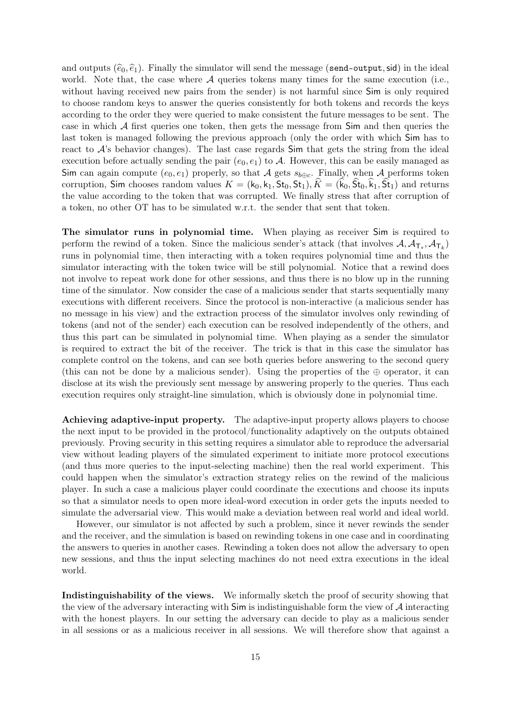and outputs  $(\widehat{e}_0, \widehat{e}_1)$ . Finally the simulator will send the message (send-output, sid) in the ideal world. Note that, the case where  $A$  queries tokens many times for the same execution (i.e., without having received new pairs from the sender) is not harmful since Sim is only required to choose random keys to answer the queries consistently for both tokens and records the keys according to the order they were queried to make consistent the future messages to be sent. The case in which  $A$  first queries one token, then gets the message from  $Sim$  and then queries the last token is managed following the previous approach (only the order with which Sim has to react to  $\mathcal{A}$ 's behavior changes). The last case regards  $Sim$  that gets the string from the ideal execution before actually sending the pair  $(e_0, e_1)$  to A. However, this can be easily managed as Sim can again compute  $(e_0, e_1)$  properly, so that A gets  $s_{b \oplus c}$ . Finally, when A performs token corruption, Sim chooses random values  $K = (k_0, k_1, St_0, St_1), \hat{K} = (\hat{k}_0, \hat{St}_0, \hat{k}_1, \hat{St}_1)$  and returns the value according to the token that was corrupted. We finally stress that after corruption of a token, no other OT has to be simulated w.r.t. the sender that sent that token.

The simulator runs in polynomial time. When playing as receiver Sim is required to perform the rewind of a token. Since the malicious sender's attack (that involves  $A, A_{\mathsf{T}_s}, A_{\mathsf{T}_k}$ ) runs in polynomial time, then interacting with a token requires polynomial time and thus the simulator interacting with the token twice will be still polynomial. Notice that a rewind does not involve to repeat work done for other sessions, and thus there is no blow up in the running time of the simulator. Now consider the case of a malicious sender that starts sequentially many executions with different receivers. Since the protocol is non-interactive (a malicious sender has no message in his view) and the extraction process of the simulator involves only rewinding of tokens (and not of the sender) each execution can be resolved independently of the others, and thus this part can be simulated in polynomial time. When playing as a sender the simulator is required to extract the bit of the receiver. The trick is that in this case the simulator has complete control on the tokens, and can see both queries before answering to the second query (this can not be done by a malicious sender). Using the properties of the  $oplus$  operator, it can disclose at its wish the previously sent message by answering properly to the queries. Thus each execution requires only straight-line simulation, which is obviously done in polynomial time.

Achieving adaptive-input property. The adaptive-input property allows players to choose the next input to be provided in the protocol/functionality adaptively on the outputs obtained previously. Proving security in this setting requires a simulator able to reproduce the adversarial view without leading players of the simulated experiment to initiate more protocol executions (and thus more queries to the input-selecting machine) then the real world experiment. This could happen when the simulator's extraction strategy relies on the rewind of the malicious player. In such a case a malicious player could coordinate the executions and choose its inputs so that a simulator needs to open more ideal-word execution in order gets the inputs needed to simulate the adversarial view. This would make a deviation between real world and ideal world.

However, our simulator is not affected by such a problem, since it never rewinds the sender and the receiver, and the simulation is based on rewinding tokens in one case and in coordinating the answers to queries in another cases. Rewinding a token does not allow the adversary to open new sessions, and thus the input selecting machines do not need extra executions in the ideal world.

Indistinguishability of the views. We informally sketch the proof of security showing that the view of the adversary interacting with  $Sim$  is indistinguishable form the view of  $A$  interacting with the honest players. In our setting the adversary can decide to play as a malicious sender in all sessions or as a malicious receiver in all sessions. We will therefore show that against a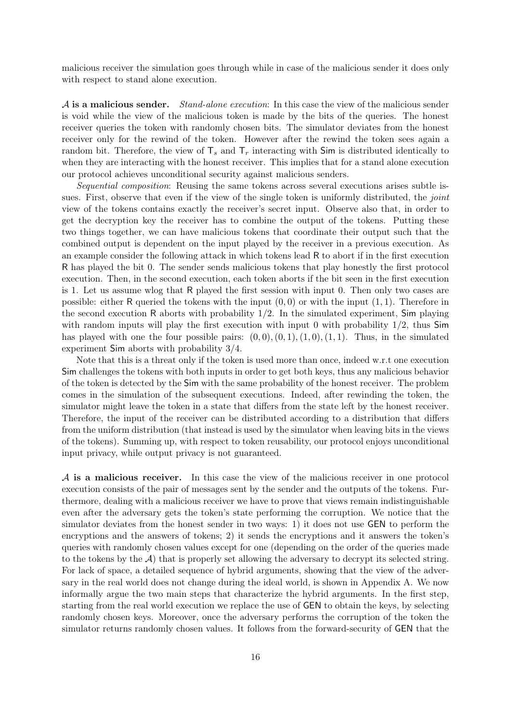malicious receiver the simulation goes through while in case of the malicious sender it does only with respect to stand alone execution.

 $\mathcal A$  is a malicious sender. *Stand-alone execution*: In this case the view of the malicious sender is void while the view of the malicious token is made by the bits of the queries. The honest receiver queries the token with randomly chosen bits. The simulator deviates from the honest receiver only for the rewind of the token. However after the rewind the token sees again a random bit. Therefore, the view of  $T_s$  and  $T_r$  interacting with Sim is distributed identically to when they are interacting with the honest receiver. This implies that for a stand alone execution our protocol achieves unconditional security against malicious senders.

Sequential composition: Reusing the same tokens across several executions arises subtle issues. First, observe that even if the view of the single token is uniformly distributed, the *joint* view of the tokens contains exactly the receiver's secret input. Observe also that, in order to get the decryption key the receiver has to combine the output of the tokens. Putting these two things together, we can have malicious tokens that coordinate their output such that the combined output is dependent on the input played by the receiver in a previous execution. As an example consider the following attack in which tokens lead R to abort if in the first execution R has played the bit 0. The sender sends malicious tokens that play honestly the first protocol execution. Then, in the second execution, each token aborts if the bit seen in the first execution is 1. Let us assume wlog that R played the first session with input 0. Then only two cases are possible: either R queried the tokens with the input  $(0, 0)$  or with the input  $(1, 1)$ . Therefore in the second execution R aborts with probability  $1/2$ . In the simulated experiment, Sim playing with random inputs will play the first execution with input 0 with probability  $1/2$ , thus Sim has played with one the four possible pairs:  $(0,0), (0,1), (1,0), (1,1)$ . Thus, in the simulated experiment Sim aborts with probability 3/4.

Note that this is a threat only if the token is used more than once, indeed w.r.t one execution Sim challenges the tokens with both inputs in order to get both keys, thus any malicious behavior of the token is detected by the Sim with the same probability of the honest receiver. The problem comes in the simulation of the subsequent executions. Indeed, after rewinding the token, the simulator might leave the token in a state that differs from the state left by the honest receiver. Therefore, the input of the receiver can be distributed according to a distribution that differs from the uniform distribution (that instead is used by the simulator when leaving bits in the views of the tokens). Summing up, with respect to token reusability, our protocol enjoys unconditional input privacy, while output privacy is not guaranteed.

A is a malicious receiver. In this case the view of the malicious receiver in one protocol execution consists of the pair of messages sent by the sender and the outputs of the tokens. Furthermore, dealing with a malicious receiver we have to prove that views remain indistinguishable even after the adversary gets the token's state performing the corruption. We notice that the simulator deviates from the honest sender in two ways: 1) it does not use GEN to perform the encryptions and the answers of tokens; 2) it sends the encryptions and it answers the token's queries with randomly chosen values except for one (depending on the order of the queries made to the tokens by the  $A$ ) that is properly set allowing the adversary to decrypt its selected string. For lack of space, a detailed sequence of hybrid arguments, showing that the view of the adversary in the real world does not change during the ideal world, is shown in Appendix A. We now informally argue the two main steps that characterize the hybrid arguments. In the first step, starting from the real world execution we replace the use of GEN to obtain the keys, by selecting randomly chosen keys. Moreover, once the adversary performs the corruption of the token the simulator returns randomly chosen values. It follows from the forward-security of GEN that the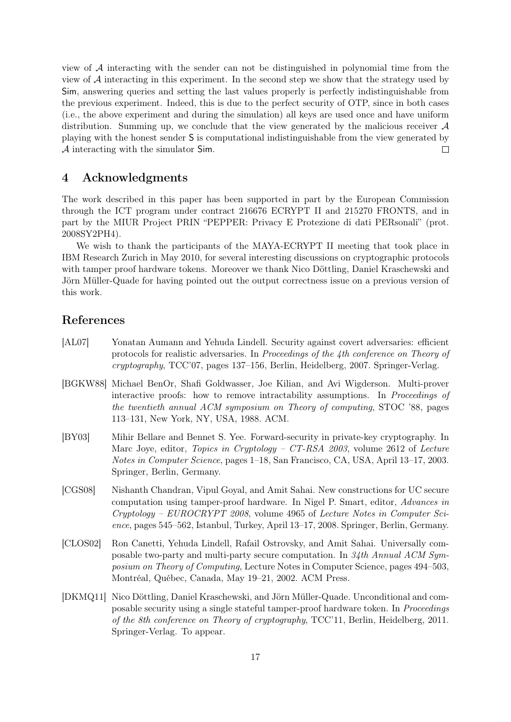view of  $A$  interacting with the sender can not be distinguished in polynomial time from the view of  $A$  interacting in this experiment. In the second step we show that the strategy used by Sim, answering queries and setting the last values properly is perfectly indistinguishable from the previous experiment. Indeed, this is due to the perfect security of OTP, since in both cases (i.e., the above experiment and during the simulation) all keys are used once and have uniform distribution. Summing up, we conclude that the view generated by the malicious receiver  $A$ playing with the honest sender S is computational indistinguishable from the view generated by A interacting with the simulator Sim.  $\Box$ 

### 4 Acknowledgments

The work described in this paper has been supported in part by the European Commission through the ICT program under contract 216676 ECRYPT II and 215270 FRONTS, and in part by the MIUR Project PRIN "PEPPER: Privacy E Protezione di dati PERsonali" (prot. 2008SY2PH4).

We wish to thank the participants of the MAYA-ECRYPT II meeting that took place in IBM Research Zurich in May 2010, for several interesting discussions on cryptographic protocols with tamper proof hardware tokens. Moreover we thank Nico Döttling, Daniel Kraschewski and Jörn Müller-Quade for having pointed out the output correctness issue on a previous version of this work.

### References

- [AL07] Yonatan Aumann and Yehuda Lindell. Security against covert adversaries: efficient protocols for realistic adversaries. In Proceedings of the 4th conference on Theory of cryptography, TCC'07, pages 137–156, Berlin, Heidelberg, 2007. Springer-Verlag.
- [BGKW88] Michael BenOr, Shafi Goldwasser, Joe Kilian, and Avi Wigderson. Multi-prover interactive proofs: how to remove intractability assumptions. In Proceedings of the twentieth annual ACM symposium on Theory of computing, STOC '88, pages 113–131, New York, NY, USA, 1988. ACM.
- [BY03] Mihir Bellare and Bennet S. Yee. Forward-security in private-key cryptography. In Marc Joye, editor, Topics in Cryptology – CT-RSA 2003, volume 2612 of Lecture Notes in Computer Science, pages 1–18, San Francisco, CA, USA, April 13–17, 2003. Springer, Berlin, Germany.
- [CGS08] Nishanth Chandran, Vipul Goyal, and Amit Sahai. New constructions for UC secure computation using tamper-proof hardware. In Nigel P. Smart, editor, Advances in  $Cryptology - EUROCRYPT 2008$ , volume 4965 of *Lecture Notes in Computer Sci*ence, pages 545–562, Istanbul, Turkey, April 13–17, 2008. Springer, Berlin, Germany.
- [CLOS02] Ron Canetti, Yehuda Lindell, Rafail Ostrovsky, and Amit Sahai. Universally composable two-party and multi-party secure computation. In 34th Annual ACM Symposium on Theory of Computing, Lecture Notes in Computer Science, pages 494–503, Montréal, Québec, Canada, May 19–21, 2002. ACM Press.
- [DKMQ11] Nico Döttling, Daniel Kraschewski, and Jörn Müller-Quade. Unconditional and composable security using a single stateful tamper-proof hardware token. In Proceedings of the 8th conference on Theory of cryptography, TCC'11, Berlin, Heidelberg, 2011. Springer-Verlag. To appear.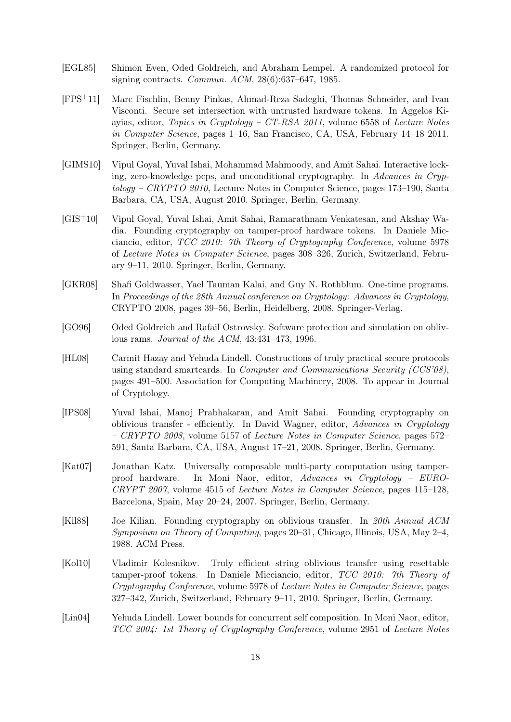- [EGL85] Shimon Even, Oded Goldreich, and Abraham Lempel. A randomized protocol for signing contracts. Commun. ACM, 28(6):637–647, 1985.
- [FPS+11] Marc Fischlin, Benny Pinkas, Ahmad-Reza Sadeghi, Thomas Schneider, and Ivan Visconti. Secure set intersection with untrusted hardware tokens. In Aggelos Kiayias, editor, Topics in Cryptology –  $CT$ -RSA 2011, volume 6558 of Lecture Notes in Computer Science, pages 1–16, San Francisco, CA, USA, February 14–18 2011. Springer, Berlin, Germany.
- [GIMS10] Vipul Goyal, Yuval Ishai, Mohammad Mahmoody, and Amit Sahai. Interactive locking, zero-knowledge pcps, and unconditional cryptography. In Advances in Cryp $tology - CRYPTO 2010$ , Lecture Notes in Computer Science, pages 173–190, Santa Barbara, CA, USA, August 2010. Springer, Berlin, Germany.
- [GIS+10] Vipul Goyal, Yuval Ishai, Amit Sahai, Ramarathnam Venkatesan, and Akshay Wadia. Founding cryptography on tamper-proof hardware tokens. In Daniele Micciancio, editor, TCC 2010: 7th Theory of Cryptography Conference, volume 5978 of Lecture Notes in Computer Science, pages 308–326, Zurich, Switzerland, February 9–11, 2010. Springer, Berlin, Germany.
- [GKR08] Shafi Goldwasser, Yael Tauman Kalai, and Guy N. Rothblum. One-time programs. In Proceedings of the 28th Annual conference on Cryptology: Advances in Cryptology, CRYPTO 2008, pages 39–56, Berlin, Heidelberg, 2008. Springer-Verlag.
- [GO96] Oded Goldreich and Rafail Ostrovsky. Software protection and simulation on oblivious rams. Journal of the ACM, 43:431–473, 1996.
- [HL08] Carmit Hazay and Yehuda Lindell. Constructions of truly practical secure protocols using standard smartcards. In Computer and Communications Security (CCS'08), pages 491–500. Association for Computing Machinery, 2008. To appear in Journal of Cryptology.
- [IPS08] Yuval Ishai, Manoj Prabhakaran, and Amit Sahai. Founding cryptography on oblivious transfer - efficiently. In David Wagner, editor, Advances in Cryptology – CRYPTO 2008, volume 5157 of Lecture Notes in Computer Science, pages 572– 591, Santa Barbara, CA, USA, August 17–21, 2008. Springer, Berlin, Germany.
- [Kat07] Jonathan Katz. Universally composable multi-party computation using tamperproof hardware. In Moni Naor, editor, Advances in Cryptology – EURO-CRYPT 2007, volume 4515 of Lecture Notes in Computer Science, pages 115–128, Barcelona, Spain, May 20–24, 2007. Springer, Berlin, Germany.
- [Kil88] Joe Kilian. Founding cryptography on oblivious transfer. In 20th Annual ACM Symposium on Theory of Computing, pages 20–31, Chicago, Illinois, USA, May 2–4, 1988. ACM Press.
- [Kol10] Vladimir Kolesnikov. Truly efficient string oblivious transfer using resettable tamper-proof tokens. In Daniele Micciancio, editor, TCC 2010: 7th Theory of Cryptography Conference, volume 5978 of Lecture Notes in Computer Science, pages 327–342, Zurich, Switzerland, February 9–11, 2010. Springer, Berlin, Germany.
- [Lin04] Yehuda Lindell. Lower bounds for concurrent self composition. In Moni Naor, editor, TCC 2004: 1st Theory of Cryptography Conference, volume 2951 of Lecture Notes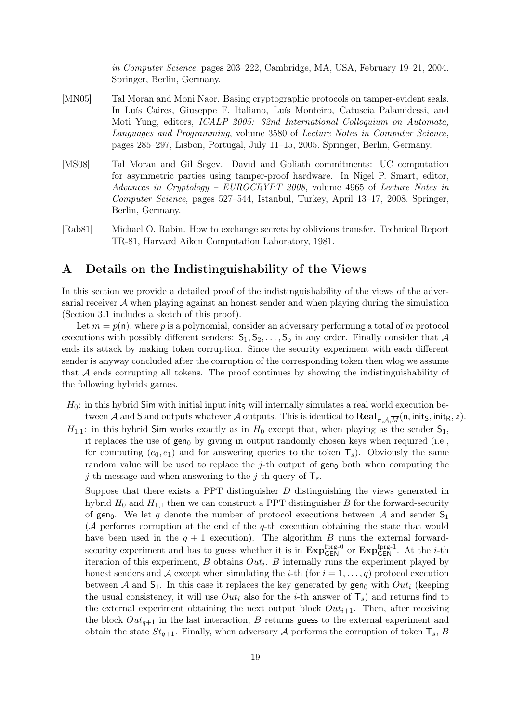in Computer Science, pages 203–222, Cambridge, MA, USA, February 19–21, 2004. Springer, Berlin, Germany.

- [MN05] Tal Moran and Moni Naor. Basing cryptographic protocols on tamper-evident seals. In Luís Caires, Giuseppe F. Italiano, Luís Monteiro, Catuscia Palamidessi, and Moti Yung, editors, ICALP 2005: 32nd International Colloquium on Automata, Languages and Programming, volume 3580 of Lecture Notes in Computer Science, pages 285–297, Lisbon, Portugal, July 11–15, 2005. Springer, Berlin, Germany.
- [MS08] Tal Moran and Gil Segev. David and Goliath commitments: UC computation for asymmetric parties using tamper-proof hardware. In Nigel P. Smart, editor, Advances in Cryptology – EUROCRYPT 2008, volume 4965 of Lecture Notes in Computer Science, pages 527–544, Istanbul, Turkey, April 13–17, 2008. Springer, Berlin, Germany.
- [Rab81] Michael O. Rabin. How to exchange secrets by oblivious transfer. Technical Report TR-81, Harvard Aiken Computation Laboratory, 1981.

# A Details on the Indistinguishability of the Views

In this section we provide a detailed proof of the indistinguishability of the views of the adversarial receiver  $A$  when playing against an honest sender and when playing during the simulation (Section 3.1 includes a sketch of this proof).

Let  $m = p(n)$ , where p is a polynomial, consider an adversary performing a total of m protocol executions with possibly different senders:  $S_1, S_2, \ldots, S_p$  in any order. Finally consider that A ends its attack by making token corruption. Since the security experiment with each different sender is anyway concluded after the corruption of the corresponding token then wlog we assume that A ends corrupting all tokens. The proof continues by showing the indistinguishability of the following hybrids games.

- $H_0$ : in this hybrid Sim with initial input inits will internally simulates a real world execution between A and S and outputs whatever A outputs. This is identical to  $\text{Real}_{\pi} \lim_{A \to \Pi} (n, \text{init}_S, \text{init}_R, z)$ .
- $H_{1,1}$ : in this hybrid Sim works exactly as in  $H_0$  except that, when playing as the sender  $S_1$ , it replaces the use of  $gen_0$  by giving in output randomly chosen keys when required (i.e., for computing  $(e_0, e_1)$  and for answering queries to the token  $\mathsf{T}_s$ . Obviously the same random value will be used to replace the  $j$ -th output of gen<sub>0</sub> both when computing the j-th message and when answering to the j-th query of  $\mathsf{T}_s$ .

Suppose that there exists a PPT distinguisher  $D$  distinguishing the views generated in hybrid  $H_0$  and  $H_{1,1}$  then we can construct a PPT distinguisher B for the forward-security of gen<sub>0</sub>. We let q denote the number of protocol executions between A and sender  $S_1$ (A performs corruption at the end of the q-th execution obtaining the state that would have been used in the  $q + 1$  execution). The algorithm B runs the external forwardsecurity experiment and has to guess whether it is in  $\text{Exp}_{\text{GEN}}^{\text{fprg-0}}$  or  $\text{Exp}_{\text{GEN}}^{\text{fprg-1}}$ . At the *i*-th iteration of this experiment,  $B$  obtains  $Out_i$ .  $B$  internally runs the experiment played by honest senders and A except when simulating the *i*-th (for  $i = 1, \ldots, q$ ) protocol execution between A and  $S_1$ . In this case it replaces the key generated by gen<sub>0</sub> with Out<sub>i</sub> (keeping the usual consistency, it will use  $Out_i$  also for the *i*-th answer of  $T_s$ ) and returns find to the external experiment obtaining the next output block  $Out_{i+1}$ . Then, after receiving the block  $Out_{q+1}$  in the last interaction, B returns guess to the external experiment and obtain the state  $St_{q+1}$ . Finally, when adversary A performs the corruption of token  $\mathsf{T}_s$ , B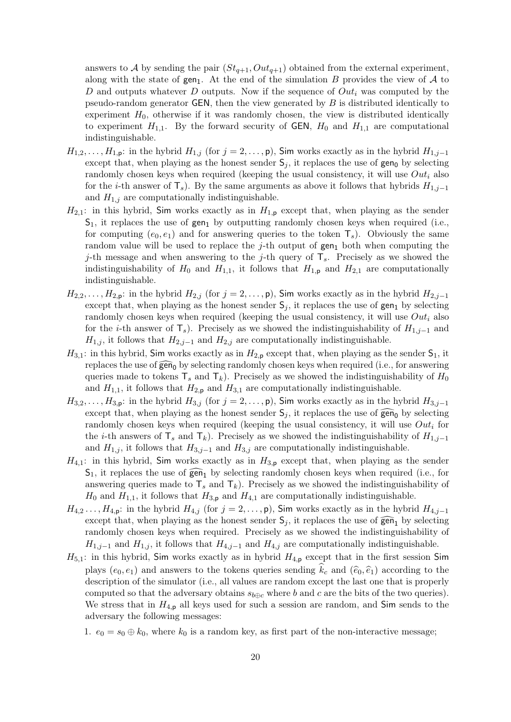answers to A by sending the pair  $(St_{q+1}, Out_{q+1})$  obtained from the external experiment, along with the state of  $gen_1$ . At the end of the simulation B provides the view of A to D and outputs whatever D outputs. Now if the sequence of  $Out_i$  was computed by the pseudo-random generator  $GEN$ , then the view generated by  $B$  is distributed identically to experiment  $H_0$ , otherwise if it was randomly chosen, the view is distributed identically to experiment  $H_{1,1}$ . By the forward security of GEN,  $H_0$  and  $H_{1,1}$  are computational indistinguishable.

- $H_{1,2}, \ldots, H_{1,p}$ : in the hybrid  $H_{1,j}$  (for  $j = 2, \ldots, p$ ), Sim works exactly as in the hybrid  $H_{1,j-1}$ except that, when playing as the honest sender  $S_j$ , it replaces the use of  $gen_0$  by selecting randomly chosen keys when required (keeping the usual consistency, it will use  $Out<sub>i</sub>$  also for the *i*-th answer of  $\mathsf{T}_s$ ). By the same arguments as above it follows that hybrids  $H_{1,j-1}$ and  $H_{1,j}$  are computationally indistinguishable.
- $H_{2,1}$ : in this hybrid, Sim works exactly as in  $H_{1,p}$  except that, when playing as the sender  $S_1$ , it replaces the use of gen<sub>1</sub> by outputting randomly chosen keys when required (i.e., for computing  $(e_0, e_1)$  and for answering queries to the token  $\mathsf{T}_s$ ). Obviously the same random value will be used to replace the  $j$ -th output of  $gen_1$  both when computing the j-th message and when answering to the j-th query of  $\mathsf{T}_s$ . Precisely as we showed the indistinguishability of  $H_0$  and  $H_{1,1}$ , it follows that  $H_{1,p}$  and  $H_{2,1}$  are computationally indistinguishable.
- $H_{2,2}, \ldots, H_{2,p}$ : in the hybrid  $H_{2,j}$  (for  $j = 2, \ldots, p$ ), Sim works exactly as in the hybrid  $H_{2,j-1}$ except that, when playing as the honest sender  $S_i$ , it replaces the use of gen<sub>1</sub> by selecting randomly chosen keys when required (keeping the usual consistency, it will use  $Out<sub>i</sub>$  also for the *i*-th answer of  $\mathsf{T}_s$ ). Precisely as we showed the indistinguishability of  $H_{1,j-1}$  and  $H_{1,j}$ , it follows that  $H_{2,j-1}$  and  $H_{2,j}$  are computationally indistinguishable.
- $H_{3,1}$ : in this hybrid, Sim works exactly as in  $H_{2,p}$  except that, when playing as the sender  $S_1$ , it replaces the use of  $\widehat{gen}_0$  by selecting randomly chosen keys when required (i.e., for answering queries made to tokens  $T_s$  and  $T_k$ ). Precisely as we showed the indistinguishability of  $H_0$ and  $H_{1,1}$ , it follows that  $H_{2,p}$  and  $H_{3,1}$  are computationally indistinguishable.
- $H_{3,2}, \ldots, H_{3,p}$ : in the hybrid  $H_{3,j}$  (for  $j = 2, \ldots, p$ ), Sim works exactly as in the hybrid  $H_{3,j-1}$ except that, when playing as the honest sender  $S_j$ , it replaces the use of  $\widehat{\text{gen}}_0$  by selecting randomly chosen keys when required (keeping the usual consistency, it will use  $Out_i$  for the *i*-th answers of  $\mathsf{T}_s$  and  $\mathsf{T}_k$ ). Precisely as we showed the indistinguishability of  $H_{1,j-1}$ and  $H_{1,j}$ , it follows that  $H_{3,j-1}$  and  $H_{3,j}$  are computationally indistinguishable.
- $H_{4,1}$ : in this hybrid, Sim works exactly as in  $H_{3,p}$  except that, when playing as the sender  $S_1$ , it replaces the use of  $\widehat{\mathsf{gen}}_1$  by selecting randomly chosen keys when required (i.e., for answering queries made to  $T_s$  and  $T_k$ ). Precisely as we showed the indistinguishability of  $H_0$  and  $H_{1,1}$ , it follows that  $H_{3,p}$  and  $H_{4,1}$  are computationally indistinguishable.
- $H_{4,2} \ldots, H_{4,p}$ : in the hybrid  $H_{4,j}$  (for  $j = 2, \ldots, p$ ), Sim works exactly as in the hybrid  $H_{4,j-1}$ except that, when playing as the honest sender  $S_i$ , it replaces the use of  $\widehat{gen}_1$  by selecting randomly chosen keys when required. Precisely as we showed the indistinguishability of  $H_{1,j-1}$  and  $H_{1,j}$ , it follows that  $H_{4,j-1}$  and  $H_{4,j}$  are computationally indistinguishable.
- $H_{5,1}$ : in this hybrid, Sim works exactly as in hybrid  $H_{4,p}$  except that in the first session Sim plays  $(e_0, e_1)$  and answers to the tokens queries sending  $k_c$  and  $(\hat{e}_0, \hat{e}_1)$  according to the description of the simulator (i.e., all values are random except the last one that is properly computed so that the adversary obtains  $s_{b \oplus c}$  where b and c are the bits of the two queries). We stress that in  $H_{4,p}$  all keys used for such a session are random, and Sim sends to the adversary the following messages:

1.  $e_0 = s_0 \oplus k_0$ , where  $k_0$  is a random key, as first part of the non-interactive message;